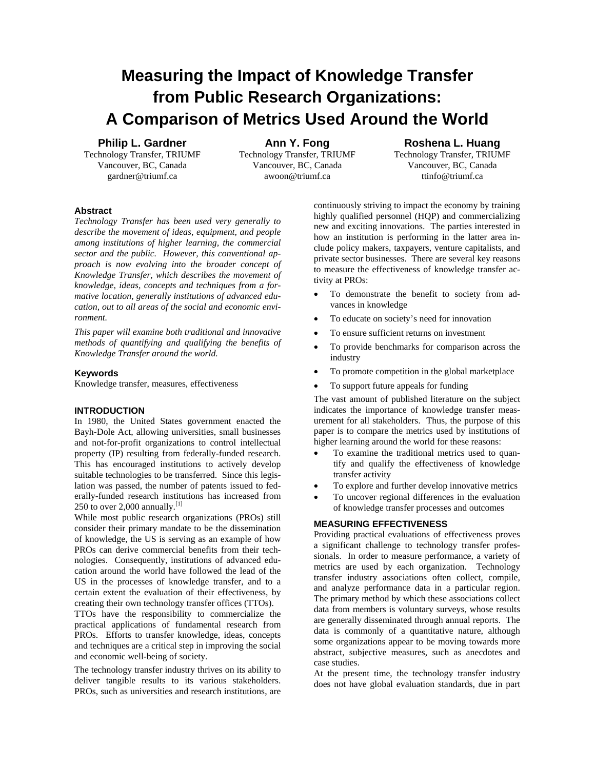# **Measuring the Impact of Knowledge Transfer from Public Research Organizations: A Comparison of Metrics Used Around the World**

# **Philip L. Gardner**

Technology Transfer, TRIUMF Vancouver, BC, Canada gardner@triumf.ca

**Ann Y. Fong**  Technology Transfer, TRIUMF Vancouver, BC, Canada awoon@triumf.ca

**Roshena L. Huang**  Technology Transfer, TRIUMF Vancouver, BC, Canada ttinfo@triumf.ca

# **Abstract**

*Technology Transfer has been used very generally to describe the movement of ideas, equipment, and people among institutions of higher learning, the commercial sector and the public. However, this conventional approach is now evolving into the broader concept of Knowledge Transfer, which describes the movement of knowledge, ideas, concepts and techniques from a formative location, generally institutions of advanced education, out to all areas of the social and economic environment.* 

*This paper will examine both traditional and innovative methods of quantifying and qualifying the benefits of Knowledge Transfer around the world.* 

# **Keywords**

Knowledge transfer, measures, effectiveness

#### **INTRODUCTION**

In 1980, the United States government enacted the Bayh-Dole Act, allowing universities, small businesses and not-for-profit organizations to control intellectual property (IP) resulting from federally-funded research. This has encouraged institutions to actively develop suitable technologies to be transferred. Since this legislation was passed, the number of patents issued to federally-funded research institutions has increased from 250 to over 2,000 annually. $^{[1]}$ 

While most public research organizations (PROs) still consider their primary mandate to be the dissemination of knowledge, the US is serving as an example of how PROs can derive commercial benefits from their technologies. Consequently, institutions of advanced education around the world have followed the lead of the US in the processes of knowledge transfer, and to a certain extent the evaluation of their effectiveness, by creating their own technology transfer offices (TTOs).

TTOs have the responsibility to commercialize the practical applications of fundamental research from PROs. Efforts to transfer knowledge, ideas, concepts and techniques are a critical step in improving the social and economic well-being of society.

The technology transfer industry thrives on its ability to deliver tangible results to its various stakeholders. PROs, such as universities and research institutions, are

continuously striving to impact the economy by training highly qualified personnel (HQP) and commercializing new and exciting innovations. The parties interested in how an institution is performing in the latter area include policy makers, taxpayers, venture capitalists, and private sector businesses. There are several key reasons to measure the effectiveness of knowledge transfer activity at PROs:

- To demonstrate the benefit to society from advances in knowledge
- To educate on society's need for innovation
- To ensure sufficient returns on investment
- To provide benchmarks for comparison across the industry
- To promote competition in the global marketplace
- To support future appeals for funding

The vast amount of published literature on the subject indicates the importance of knowledge transfer measurement for all stakeholders. Thus, the purpose of this paper is to compare the metrics used by institutions of higher learning around the world for these reasons:

- To examine the traditional metrics used to quantify and qualify the effectiveness of knowledge transfer activity
- To explore and further develop innovative metrics
- To uncover regional differences in the evaluation of knowledge transfer processes and outcomes

# **MEASURING EFFECTIVENESS**

Providing practical evaluations of effectiveness proves a significant challenge to technology transfer professionals. In order to measure performance, a variety of metrics are used by each organization. Technology transfer industry associations often collect, compile, and analyze performance data in a particular region. The primary method by which these associations collect data from members is voluntary surveys, whose results are generally disseminated through annual reports. The data is commonly of a quantitative nature, although some organizations appear to be moving towards more abstract, subjective measures, such as anecdotes and case studies.

At the present time, the technology transfer industry does not have global evaluation standards, due in part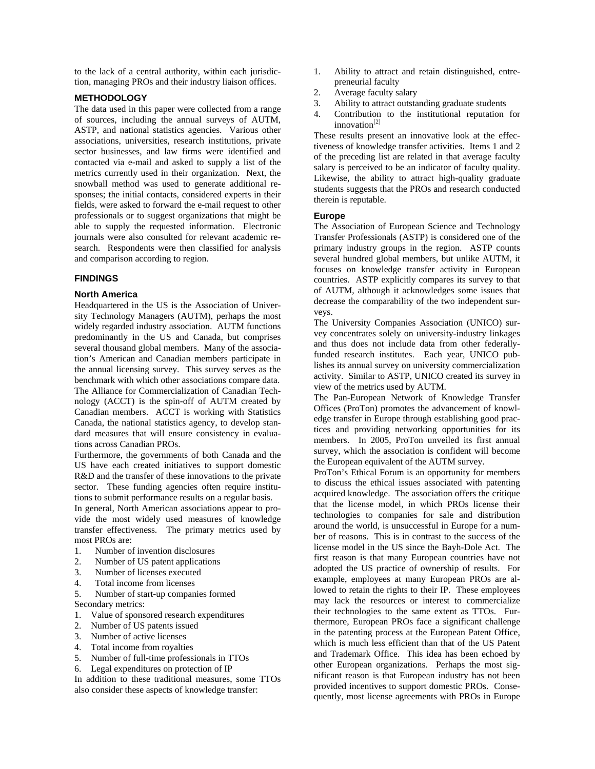to the lack of a central authority, within each jurisdiction, managing PROs and their industry liaison offices.

# **METHODOLOGY**

The data used in this paper were collected from a range of sources, including the annual surveys of AUTM, ASTP, and national statistics agencies. Various other associations, universities, research institutions, private sector businesses, and law firms were identified and contacted via e-mail and asked to supply a list of the metrics currently used in their organization. Next, the snowball method was used to generate additional responses; the initial contacts, considered experts in their fields, were asked to forward the e-mail request to other professionals or to suggest organizations that might be able to supply the requested information. Electronic journals were also consulted for relevant academic research. Respondents were then classified for analysis and comparison according to region.

# **FINDINGS**

#### **North America**

Headquartered in the US is the Association of University Technology Managers (AUTM), perhaps the most widely regarded industry association. AUTM functions predominantly in the US and Canada, but comprises several thousand global members. Many of the association's American and Canadian members participate in the annual licensing survey. This survey serves as the benchmark with which other associations compare data. The Alliance for Commercialization of Canadian Technology (ACCT) is the spin-off of AUTM created by Canadian members. ACCT is working with Statistics Canada, the national statistics agency, to develop standard measures that will ensure consistency in evaluations across Canadian PROs.

Furthermore, the governments of both Canada and the US have each created initiatives to support domestic R&D and the transfer of these innovations to the private sector. These funding agencies often require institutions to submit performance results on a regular basis.

In general, North American associations appear to provide the most widely used measures of knowledge transfer effectiveness. The primary metrics used by most PROs are:

- 1. Number of invention disclosures
- 2. Number of US patent applications
- 3. Number of licenses executed
- 4. Total income from licenses

5. Number of start-up companies formed Secondary metrics:

- 1. Value of sponsored research expenditures
- 2. Number of US patents issued
- 3. Number of active licenses
- 4. Total income from royalties
- 5. Number of full-time professionals in TTOs
- 6. Legal expenditures on protection of IP

In addition to these traditional measures, some TTOs also consider these aspects of knowledge transfer:

- 1. Ability to attract and retain distinguished, entrepreneurial faculty
- 2. Average faculty salary
- 3. Ability to attract outstanding graduate students
- 4. Contribution to the institutional reputation for innovation<sup>[2]</sup>

These results present an innovative look at the effectiveness of knowledge transfer activities. Items 1 and 2 of the preceding list are related in that average faculty salary is perceived to be an indicator of faculty quality. Likewise, the ability to attract high-quality graduate students suggests that the PROs and research conducted therein is reputable.

#### **Europe**

The Association of European Science and Technology Transfer Professionals (ASTP) is considered one of the primary industry groups in the region. ASTP counts several hundred global members, but unlike AUTM, it focuses on knowledge transfer activity in European countries. ASTP explicitly compares its survey to that of AUTM, although it acknowledges some issues that decrease the comparability of the two independent surveys.

The University Companies Association (UNICO) survey concentrates solely on university-industry linkages and thus does not include data from other federallyfunded research institutes. Each year, UNICO publishes its annual survey on university commercialization activity. Similar to ASTP, UNICO created its survey in view of the metrics used by AUTM.

The Pan-European Network of Knowledge Transfer Offices (ProTon) promotes the advancement of knowledge transfer in Europe through establishing good practices and providing networking opportunities for its members. In 2005, ProTon unveiled its first annual survey, which the association is confident will become the European equivalent of the AUTM survey.

ProTon's Ethical Forum is an opportunity for members to discuss the ethical issues associated with patenting acquired knowledge. The association offers the critique that the license model, in which PROs license their technologies to companies for sale and distribution around the world, is unsuccessful in Europe for a number of reasons. This is in contrast to the success of the license model in the US since the Bayh-Dole Act. The first reason is that many European countries have not adopted the US practice of ownership of results. For example, employees at many European PROs are allowed to retain the rights to their IP. These employees may lack the resources or interest to commercialize their technologies to the same extent as TTOs. Furthermore, European PROs face a significant challenge in the patenting process at the European Patent Office, which is much less efficient than that of the US Patent and Trademark Office. This idea has been echoed by other European organizations. Perhaps the most significant reason is that European industry has not been provided incentives to support domestic PROs. Consequently, most license agreements with PROs in Europe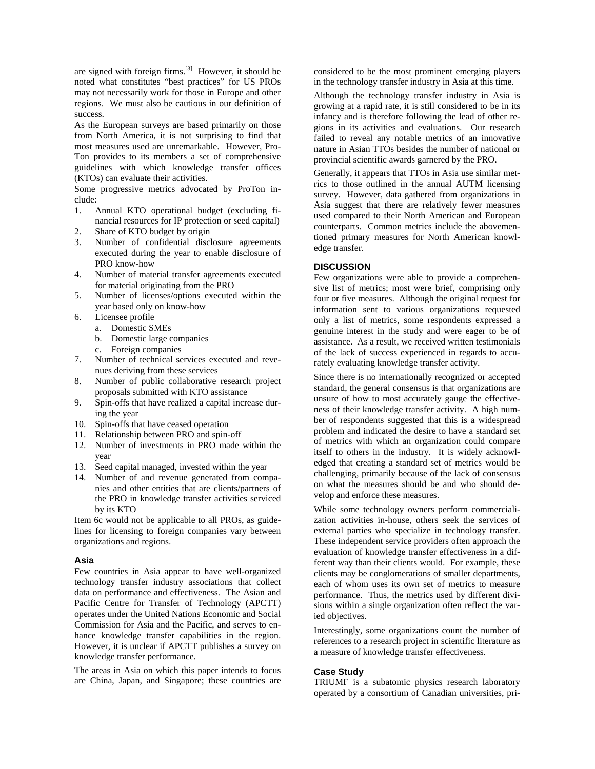are signed with foreign firms. $[3]$  However, it should be noted what constitutes "best practices" for US PROs may not necessarily work for those in Europe and other regions. We must also be cautious in our definition of success.

As the European surveys are based primarily on those from North America, it is not surprising to find that most measures used are unremarkable. However, Pro-Ton provides to its members a set of comprehensive guidelines with which knowledge transfer offices (KTOs) can evaluate their activities.

Some progressive metrics advocated by ProTon include:

- 1. Annual KTO operational budget (excluding financial resources for IP protection or seed capital)
- 2. Share of KTO budget by origin
- 3. Number of confidential disclosure agreements executed during the year to enable disclosure of PRO know-how
- 4. Number of material transfer agreements executed for material originating from the PRO
- 5. Number of licenses/options executed within the year based only on know-how
- 6. Licensee profile
	- a. Domestic SMEs
	- b. Domestic large companies
	- c. Foreign companies
- 7. Number of technical services executed and revenues deriving from these services
- 8. Number of public collaborative research project proposals submitted with KTO assistance
- 9. Spin-offs that have realized a capital increase during the year
- 10. Spin-offs that have ceased operation
- 11. Relationship between PRO and spin-off
- 12. Number of investments in PRO made within the year
- 13. Seed capital managed, invested within the year
- 14. Number of and revenue generated from companies and other entities that are clients/partners of the PRO in knowledge transfer activities serviced by its KTO

Item 6c would not be applicable to all PROs, as guidelines for licensing to foreign companies vary between organizations and regions.

### **Asia**

Few countries in Asia appear to have well-organized technology transfer industry associations that collect data on performance and effectiveness. The Asian and Pacific Centre for Transfer of Technology (APCTT) operates under the United Nations Economic and Social Commission for Asia and the Pacific, and serves to enhance knowledge transfer capabilities in the region. However, it is unclear if APCTT publishes a survey on knowledge transfer performance.

The areas in Asia on which this paper intends to focus are China, Japan, and Singapore; these countries are

considered to be the most prominent emerging players in the technology transfer industry in Asia at this time.

Although the technology transfer industry in Asia is growing at a rapid rate, it is still considered to be in its infancy and is therefore following the lead of other regions in its activities and evaluations. Our research failed to reveal any notable metrics of an innovative nature in Asian TTOs besides the number of national or provincial scientific awards garnered by the PRO.

Generally, it appears that TTOs in Asia use similar metrics to those outlined in the annual AUTM licensing survey. However, data gathered from organizations in Asia suggest that there are relatively fewer measures used compared to their North American and European counterparts. Common metrics include the abovementioned primary measures for North American knowledge transfer.

### **DISCUSSION**

Few organizations were able to provide a comprehensive list of metrics; most were brief, comprising only four or five measures. Although the original request for information sent to various organizations requested only a list of metrics, some respondents expressed a genuine interest in the study and were eager to be of assistance. As a result, we received written testimonials of the lack of success experienced in regards to accurately evaluating knowledge transfer activity.

Since there is no internationally recognized or accepted standard, the general consensus is that organizations are unsure of how to most accurately gauge the effectiveness of their knowledge transfer activity. A high number of respondents suggested that this is a widespread problem and indicated the desire to have a standard set of metrics with which an organization could compare itself to others in the industry. It is widely acknowledged that creating a standard set of metrics would be challenging, primarily because of the lack of consensus on what the measures should be and who should develop and enforce these measures.

While some technology owners perform commercialization activities in-house, others seek the services of external parties who specialize in technology transfer. These independent service providers often approach the evaluation of knowledge transfer effectiveness in a different way than their clients would. For example, these clients may be conglomerations of smaller departments, each of whom uses its own set of metrics to measure performance. Thus, the metrics used by different divisions within a single organization often reflect the varied objectives.

Interestingly, some organizations count the number of references to a research project in scientific literature as a measure of knowledge transfer effectiveness.

## **Case Study**

TRIUMF is a subatomic physics research laboratory operated by a consortium of Canadian universities, pri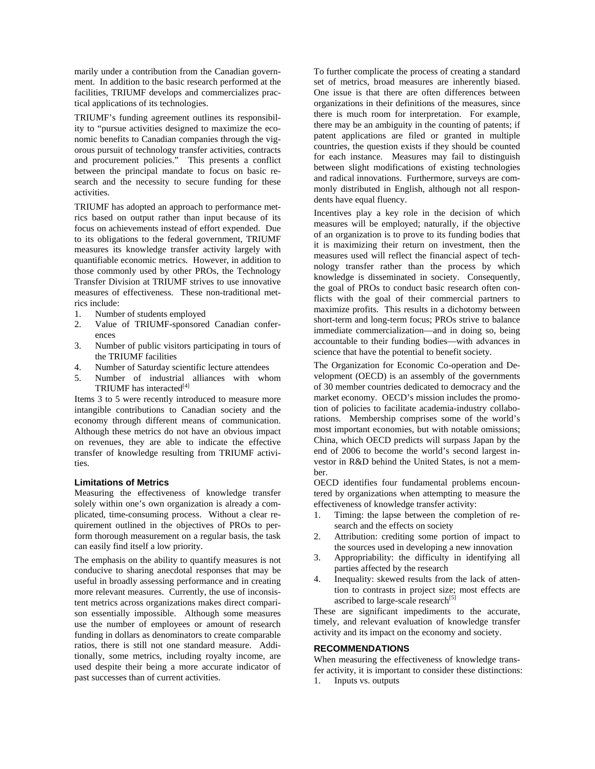marily under a contribution from the Canadian government. In addition to the basic research performed at the facilities, TRIUMF develops and commercializes practical applications of its technologies.

TRIUMF's funding agreement outlines its responsibility to "pursue activities designed to maximize the economic benefits to Canadian companies through the vigorous pursuit of technology transfer activities, contracts and procurement policies." This presents a conflict between the principal mandate to focus on basic research and the necessity to secure funding for these activities.

TRIUMF has adopted an approach to performance metrics based on output rather than input because of its focus on achievements instead of effort expended. Due to its obligations to the federal government, TRIUMF measures its knowledge transfer activity largely with quantifiable economic metrics. However, in addition to those commonly used by other PROs, the Technology Transfer Division at TRIUMF strives to use innovative measures of effectiveness. These non-traditional metrics include:

- 1. Number of students employed
- 2. Value of TRIUMF-sponsored Canadian conferences
- 3. Number of public visitors participating in tours of the TRIUMF facilities
- 4. Number of Saturday scientific lecture attendees
- 5. Number of industrial alliances with whom TRIUMF has interacted<sup>[4]</sup>

Items 3 to 5 were recently introduced to measure more intangible contributions to Canadian society and the economy through different means of communication. Although these metrics do not have an obvious impact on revenues, they are able to indicate the effective transfer of knowledge resulting from TRIUMF activities.

## **Limitations of Metrics**

Measuring the effectiveness of knowledge transfer solely within one's own organization is already a complicated, time-consuming process. Without a clear requirement outlined in the objectives of PROs to perform thorough measurement on a regular basis, the task can easily find itself a low priority.

The emphasis on the ability to quantify measures is not conducive to sharing anecdotal responses that may be useful in broadly assessing performance and in creating more relevant measures. Currently, the use of inconsistent metrics across organizations makes direct comparison essentially impossible. Although some measures use the number of employees or amount of research funding in dollars as denominators to create comparable ratios, there is still not one standard measure. Additionally, some metrics, including royalty income, are used despite their being a more accurate indicator of past successes than of current activities.

To further complicate the process of creating a standard set of metrics, broad measures are inherently biased. One issue is that there are often differences between organizations in their definitions of the measures, since there is much room for interpretation. For example, there may be an ambiguity in the counting of patents; if patent applications are filed or granted in multiple countries, the question exists if they should be counted for each instance. Measures may fail to distinguish between slight modifications of existing technologies and radical innovations. Furthermore, surveys are commonly distributed in English, although not all respondents have equal fluency.

Incentives play a key role in the decision of which measures will be employed; naturally, if the objective of an organization is to prove to its funding bodies that it is maximizing their return on investment, then the measures used will reflect the financial aspect of technology transfer rather than the process by which knowledge is disseminated in society. Consequently, the goal of PROs to conduct basic research often conflicts with the goal of their commercial partners to maximize profits. This results in a dichotomy between short-term and long-term focus; PROs strive to balance immediate commercialization—and in doing so, being accountable to their funding bodies—with advances in science that have the potential to benefit society.

The Organization for Economic Co-operation and Development (OECD) is an assembly of the governments of 30 member countries dedicated to democracy and the market economy. OECD's mission includes the promotion of policies to facilitate academia-industry collaborations. Membership comprises some of the world's most important economies, but with notable omissions; China, which OECD predicts will surpass Japan by the end of 2006 to become the world's second largest investor in R&D behind the United States, is not a member.

OECD identifies four fundamental problems encountered by organizations when attempting to measure the effectiveness of knowledge transfer activity:

- 1. Timing: the lapse between the completion of research and the effects on society
- 2. Attribution: crediting some portion of impact to the sources used in developing a new innovation
- 3. Appropriability: the difficulty in identifying all parties affected by the research
- 4. Inequality: skewed results from the lack of attention to contrasts in project size; most effects are ascribed to large-scale research<sup>[5]</sup>

These are significant impediments to the accurate, timely, and relevant evaluation of knowledge transfer activity and its impact on the economy and society.

# **RECOMMENDATIONS**

When measuring the effectiveness of knowledge transfer activity, it is important to consider these distinctions:

1. Inputs vs. outputs